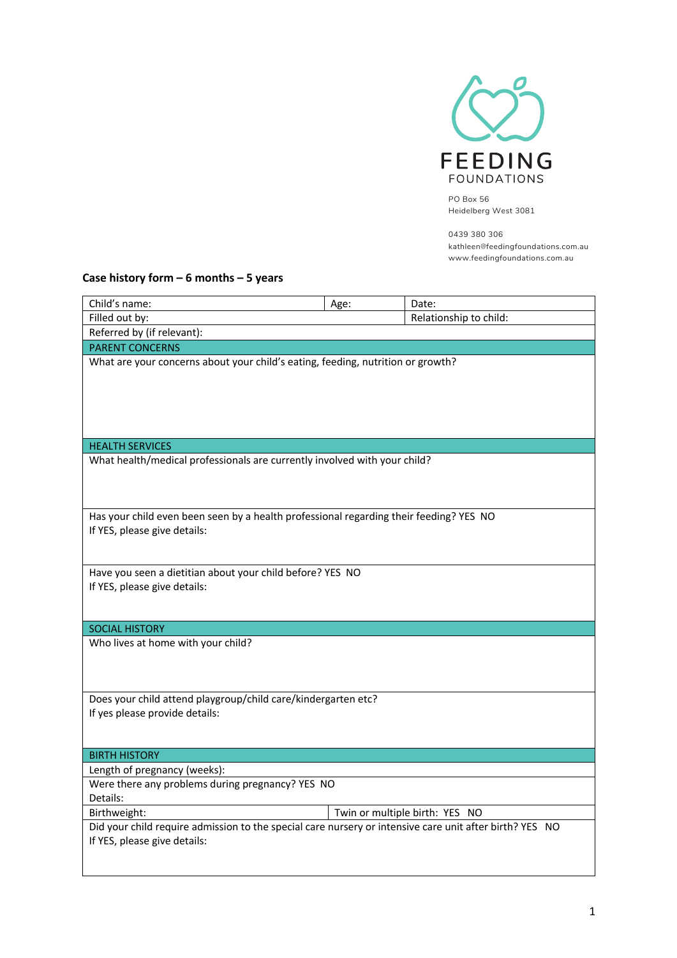

PO Box 56 Heidelberg West 3081

0439 380 306 kathleen@feedingfoundations.com.au www.feedingfoundations.com.au

## **Case history form – 6 months – 5 years**

| Child's name:                                                                                                                           | Age:                   | Date:                          |  |  |  |  |
|-----------------------------------------------------------------------------------------------------------------------------------------|------------------------|--------------------------------|--|--|--|--|
| Filled out by:                                                                                                                          | Relationship to child: |                                |  |  |  |  |
| Referred by (if relevant):                                                                                                              |                        |                                |  |  |  |  |
| <b>PARENT CONCERNS</b>                                                                                                                  |                        |                                |  |  |  |  |
| What are your concerns about your child's eating, feeding, nutrition or growth?                                                         |                        |                                |  |  |  |  |
| <b>HEALTH SERVICES</b>                                                                                                                  |                        |                                |  |  |  |  |
| What health/medical professionals are currently involved with your child?                                                               |                        |                                |  |  |  |  |
|                                                                                                                                         |                        |                                |  |  |  |  |
| Has your child even been seen by a health professional regarding their feeding? YES NO<br>If YES, please give details:                  |                        |                                |  |  |  |  |
|                                                                                                                                         |                        |                                |  |  |  |  |
| Have you seen a dietitian about your child before? YES NO<br>If YES, please give details:                                               |                        |                                |  |  |  |  |
| <b>SOCIAL HISTORY</b>                                                                                                                   |                        |                                |  |  |  |  |
| Who lives at home with your child?                                                                                                      |                        |                                |  |  |  |  |
| Does your child attend playgroup/child care/kindergarten etc?                                                                           |                        |                                |  |  |  |  |
| If yes please provide details:                                                                                                          |                        |                                |  |  |  |  |
| <b>BIRTH HISTORY</b>                                                                                                                    |                        |                                |  |  |  |  |
| Length of pregnancy (weeks):                                                                                                            |                        |                                |  |  |  |  |
| Were there any problems during pregnancy? YES NO<br>Details:                                                                            |                        |                                |  |  |  |  |
| Birthweight:                                                                                                                            |                        | Twin or multiple birth: YES NO |  |  |  |  |
| Did your child require admission to the special care nursery or intensive care unit after birth? YES NO<br>If YES, please give details: |                        |                                |  |  |  |  |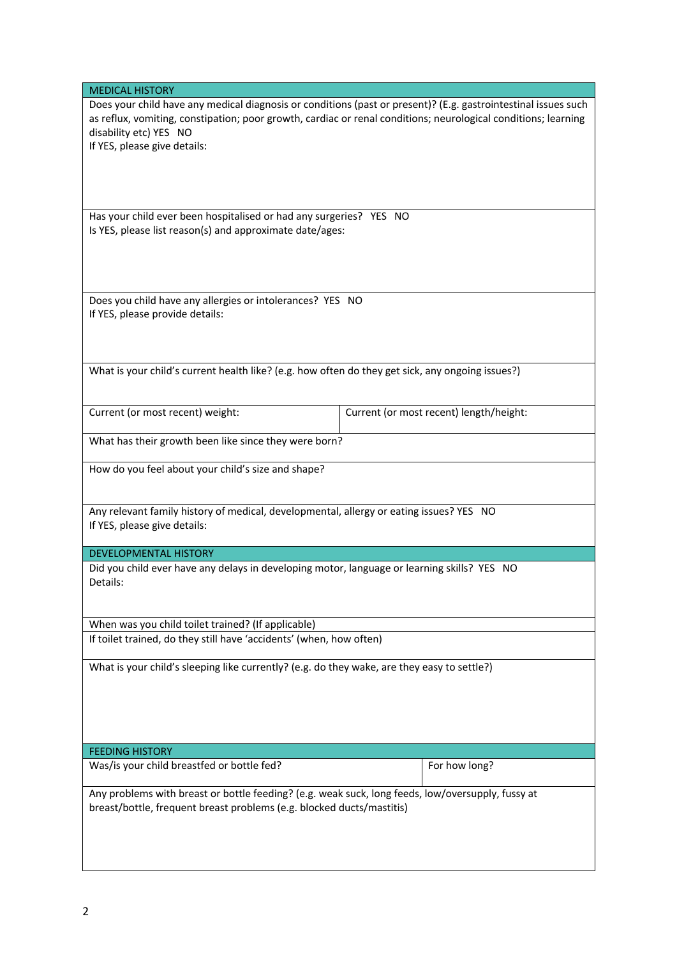| <b>MEDICAL HISTORY</b>                                                                                         |                                         |               |  |  |  |
|----------------------------------------------------------------------------------------------------------------|-----------------------------------------|---------------|--|--|--|
| Does your child have any medical diagnosis or conditions (past or present)? (E.g. gastrointestinal issues such |                                         |               |  |  |  |
| as reflux, vomiting, constipation; poor growth, cardiac or renal conditions; neurological conditions; learning |                                         |               |  |  |  |
| disability etc) YES NO                                                                                         |                                         |               |  |  |  |
| If YES, please give details:                                                                                   |                                         |               |  |  |  |
|                                                                                                                |                                         |               |  |  |  |
|                                                                                                                |                                         |               |  |  |  |
|                                                                                                                |                                         |               |  |  |  |
|                                                                                                                |                                         |               |  |  |  |
| Has your child ever been hospitalised or had any surgeries? YES NO                                             |                                         |               |  |  |  |
| Is YES, please list reason(s) and approximate date/ages:                                                       |                                         |               |  |  |  |
|                                                                                                                |                                         |               |  |  |  |
|                                                                                                                |                                         |               |  |  |  |
|                                                                                                                |                                         |               |  |  |  |
| Does you child have any allergies or intolerances? YES NO                                                      |                                         |               |  |  |  |
| If YES, please provide details:                                                                                |                                         |               |  |  |  |
|                                                                                                                |                                         |               |  |  |  |
|                                                                                                                |                                         |               |  |  |  |
|                                                                                                                |                                         |               |  |  |  |
| What is your child's current health like? (e.g. how often do they get sick, any ongoing issues?)               |                                         |               |  |  |  |
|                                                                                                                |                                         |               |  |  |  |
|                                                                                                                |                                         |               |  |  |  |
| Current (or most recent) weight:                                                                               | Current (or most recent) length/height: |               |  |  |  |
|                                                                                                                |                                         |               |  |  |  |
| What has their growth been like since they were born?                                                          |                                         |               |  |  |  |
|                                                                                                                |                                         |               |  |  |  |
| How do you feel about your child's size and shape?                                                             |                                         |               |  |  |  |
|                                                                                                                |                                         |               |  |  |  |
|                                                                                                                |                                         |               |  |  |  |
| Any relevant family history of medical, developmental, allergy or eating issues? YES NO                        |                                         |               |  |  |  |
| If YES, please give details:                                                                                   |                                         |               |  |  |  |
| <b>DEVELOPMENTAL HISTORY</b>                                                                                   |                                         |               |  |  |  |
|                                                                                                                |                                         |               |  |  |  |
| Did you child ever have any delays in developing motor, language or learning skills? YES NO<br>Details:        |                                         |               |  |  |  |
|                                                                                                                |                                         |               |  |  |  |
|                                                                                                                |                                         |               |  |  |  |
| When was you child toilet trained? (If applicable)                                                             |                                         |               |  |  |  |
| If toilet trained, do they still have 'accidents' (when, how often)                                            |                                         |               |  |  |  |
|                                                                                                                |                                         |               |  |  |  |
| What is your child's sleeping like currently? (e.g. do they wake, are they easy to settle?)                    |                                         |               |  |  |  |
|                                                                                                                |                                         |               |  |  |  |
|                                                                                                                |                                         |               |  |  |  |
|                                                                                                                |                                         |               |  |  |  |
|                                                                                                                |                                         |               |  |  |  |
|                                                                                                                |                                         |               |  |  |  |
| <b>FEEDING HISTORY</b>                                                                                         |                                         |               |  |  |  |
| Was/is your child breastfed or bottle fed?                                                                     |                                         | For how long? |  |  |  |
|                                                                                                                |                                         |               |  |  |  |
| Any problems with breast or bottle feeding? (e.g. weak suck, long feeds, low/oversupply, fussy at              |                                         |               |  |  |  |
| breast/bottle, frequent breast problems (e.g. blocked ducts/mastitis)                                          |                                         |               |  |  |  |
|                                                                                                                |                                         |               |  |  |  |
|                                                                                                                |                                         |               |  |  |  |
|                                                                                                                |                                         |               |  |  |  |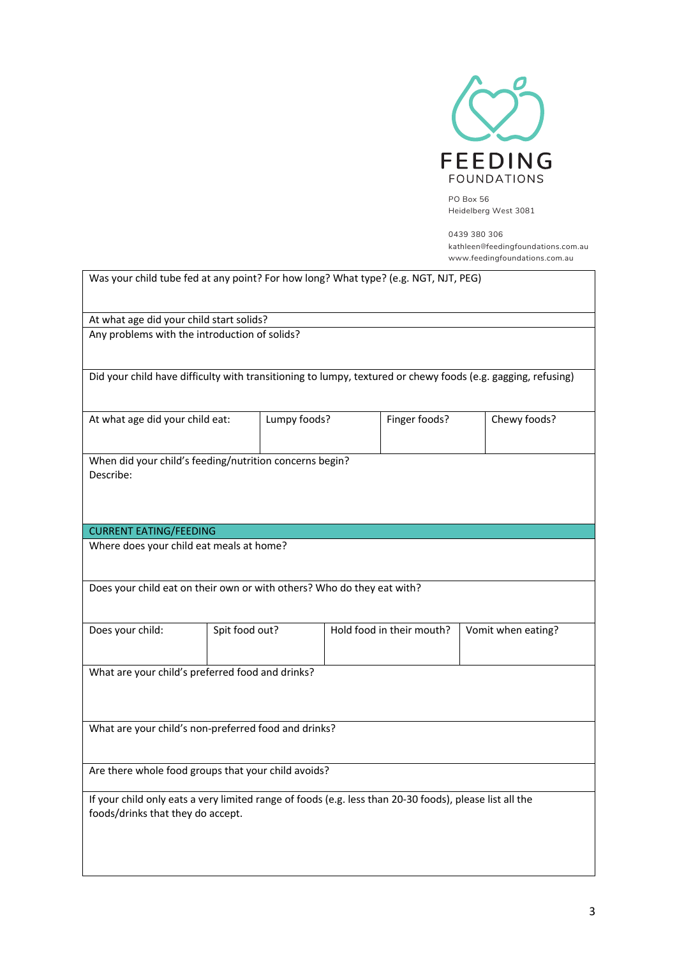

PO Box 56 Heidelberg West 3081

0439 380 306 kathleen@feedingfoundations.com.au www.feedingfoundations.com.au

| Was your child tube fed at any point? For how long? What type? (e.g. NGT, NJT, PEG)                                                          |                |              |  |                           |                    |  |
|----------------------------------------------------------------------------------------------------------------------------------------------|----------------|--------------|--|---------------------------|--------------------|--|
| At what age did your child start solids?                                                                                                     |                |              |  |                           |                    |  |
| Any problems with the introduction of solids?                                                                                                |                |              |  |                           |                    |  |
|                                                                                                                                              |                |              |  |                           |                    |  |
| Did your child have difficulty with transitioning to lumpy, textured or chewy foods (e.g. gagging, refusing)                                 |                |              |  |                           |                    |  |
|                                                                                                                                              |                |              |  |                           |                    |  |
| At what age did your child eat:                                                                                                              |                | Lumpy foods? |  | Finger foods?             | Chewy foods?       |  |
|                                                                                                                                              |                |              |  |                           |                    |  |
| When did your child's feeding/nutrition concerns begin?                                                                                      |                |              |  |                           |                    |  |
| Describe:                                                                                                                                    |                |              |  |                           |                    |  |
|                                                                                                                                              |                |              |  |                           |                    |  |
|                                                                                                                                              |                |              |  |                           |                    |  |
| <b>CURRENT EATING/FEEDING</b>                                                                                                                |                |              |  |                           |                    |  |
| Where does your child eat meals at home?                                                                                                     |                |              |  |                           |                    |  |
|                                                                                                                                              |                |              |  |                           |                    |  |
| Does your child eat on their own or with others? Who do they eat with?                                                                       |                |              |  |                           |                    |  |
|                                                                                                                                              |                |              |  |                           |                    |  |
| Does your child:                                                                                                                             | Spit food out? |              |  | Hold food in their mouth? | Vomit when eating? |  |
|                                                                                                                                              |                |              |  |                           |                    |  |
| What are your child's preferred food and drinks?                                                                                             |                |              |  |                           |                    |  |
|                                                                                                                                              |                |              |  |                           |                    |  |
|                                                                                                                                              |                |              |  |                           |                    |  |
| What are your child's non-preferred food and drinks?                                                                                         |                |              |  |                           |                    |  |
|                                                                                                                                              |                |              |  |                           |                    |  |
| Are there whole food groups that your child avoids?                                                                                          |                |              |  |                           |                    |  |
|                                                                                                                                              |                |              |  |                           |                    |  |
| If your child only eats a very limited range of foods (e.g. less than 20-30 foods), please list all the<br>foods/drinks that they do accept. |                |              |  |                           |                    |  |
|                                                                                                                                              |                |              |  |                           |                    |  |
|                                                                                                                                              |                |              |  |                           |                    |  |
|                                                                                                                                              |                |              |  |                           |                    |  |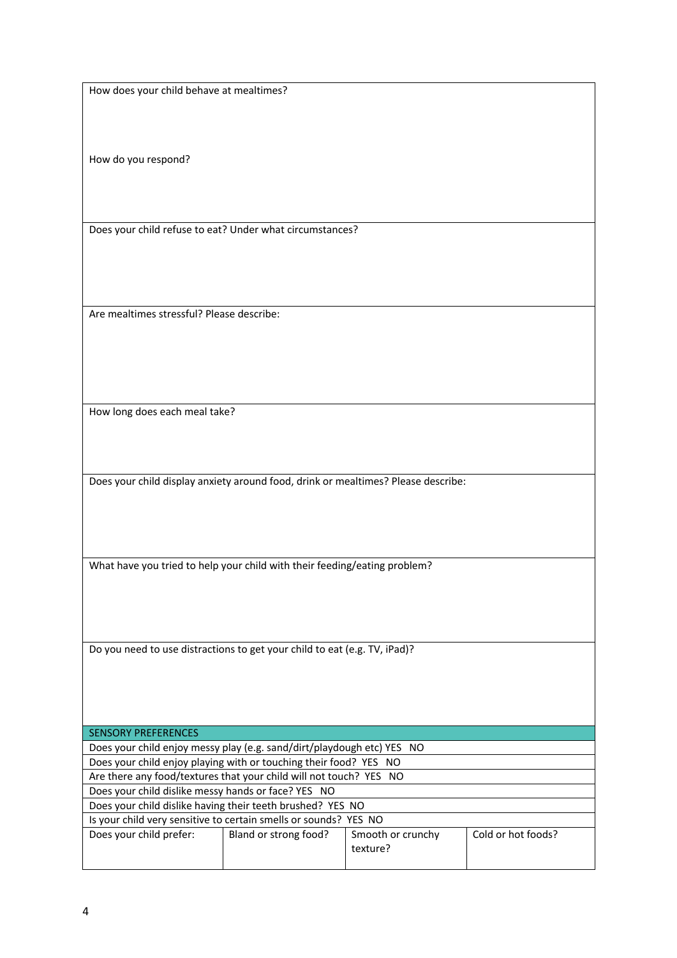How does your child behave at mealtimes?

How do you respond?

Does your child refuse to eat? Under what circumstances?

Are mealtimes stressful? Please describe:

How long does each meal take?

Does your child display anxiety around food, drink or mealtimes? Please describe:

What have you tried to help your child with their feeding/eating problem?

Do you need to use distractions to get your child to eat (e.g. TV, iPad)?

| <b>SENSORY PREFERENCES</b>                                             |                       |                   |                    |  |  |
|------------------------------------------------------------------------|-----------------------|-------------------|--------------------|--|--|
| Does your child enjoy messy play (e.g. sand/dirt/playdough etc) YES NO |                       |                   |                    |  |  |
| Does your child enjoy playing with or touching their food? YES NO      |                       |                   |                    |  |  |
| Are there any food/textures that your child will not touch? YES NO     |                       |                   |                    |  |  |
| Does your child dislike messy hands or face? YES NO                    |                       |                   |                    |  |  |
| Does your child dislike having their teeth brushed? YES NO             |                       |                   |                    |  |  |
| Is your child very sensitive to certain smells or sounds? YES NO       |                       |                   |                    |  |  |
| Does your child prefer:                                                | Bland or strong food? | Smooth or crunchy | Cold or hot foods? |  |  |
|                                                                        |                       | texture?          |                    |  |  |
|                                                                        |                       |                   |                    |  |  |